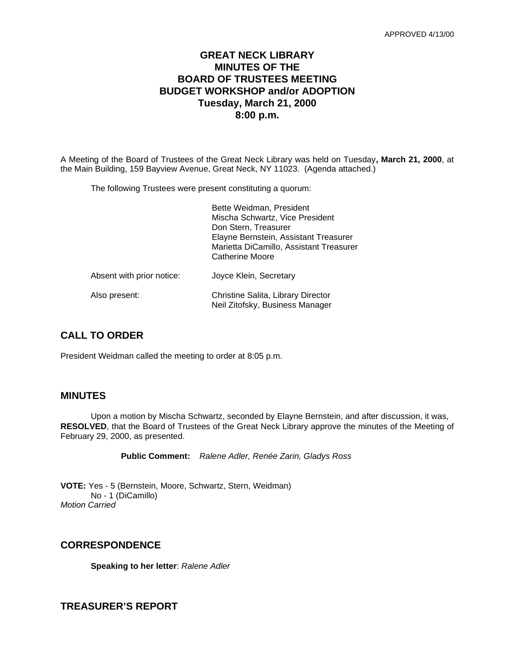# **GREAT NECK LIBRARY MINUTES OF THE BOARD OF TRUSTEES MEETING BUDGET WORKSHOP and/or ADOPTION Tuesday, March 21, 2000 8:00 p.m.**

A Meeting of the Board of Trustees of the Great Neck Library was held on Tuesday**, March 21, 2000**, at the Main Building, 159 Bayview Avenue, Great Neck, NY 11023. (Agenda attached.)

The following Trustees were present constituting a quorum:

|                           | Bette Weidman, President<br>Mischa Schwartz, Vice President<br>Don Stern, Treasurer<br>Elayne Bernstein, Assistant Treasurer<br>Marietta DiCamillo, Assistant Treasurer<br>Catherine Moore |
|---------------------------|--------------------------------------------------------------------------------------------------------------------------------------------------------------------------------------------|
| Absent with prior notice: | Joyce Klein, Secretary                                                                                                                                                                     |
| Also present:             | Christine Salita, Library Director<br>Neil Zitofsky, Business Manager                                                                                                                      |

# **CALL TO ORDER**

President Weidman called the meeting to order at 8:05 p.m.

### **MINUTES**

Upon a motion by Mischa Schwartz, seconded by Elayne Bernstein, and after discussion, it was, **RESOLVED**, that the Board of Trustees of the Great Neck Library approve the minutes of the Meeting of February 29, 2000, as presented.

**Public Comment:** *Ralene Adler, Renée Zarin, Gladys Ross*

**VOTE:** Yes - 5 (Bernstein, Moore, Schwartz, Stern, Weidman) No - 1 (DiCamillo) *Motion Carried*

### **CORRESPONDENCE**

**Speaking to her letter**: *Ralene Adler*

**TREASURER'S REPORT**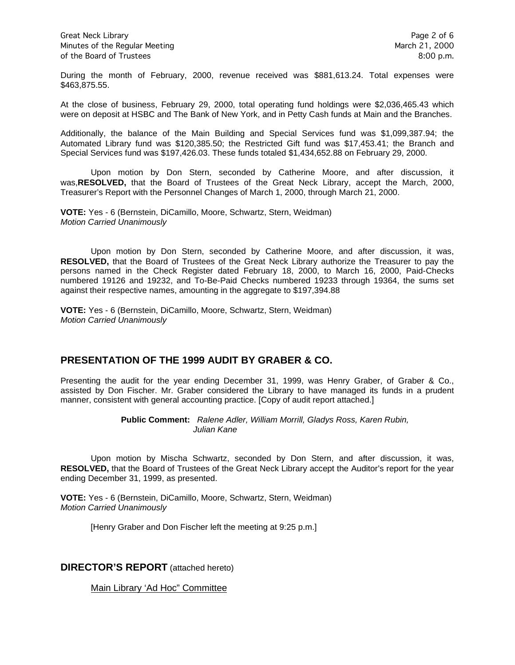Great Neck Library **Page 2 of 6** Minutes of the Regular Meeting March 21, 2000 of the Board of Trustees 8:00 p.m.

During the month of February, 2000, revenue received was \$881,613.24. Total expenses were \$463,875.55.

At the close of business, February 29, 2000, total operating fund holdings were \$2,036,465.43 which were on deposit at HSBC and The Bank of New York, and in Petty Cash funds at Main and the Branches.

Additionally, the balance of the Main Building and Special Services fund was \$1,099,387.94; the Automated Library fund was \$120,385.50; the Restricted Gift fund was \$17,453.41; the Branch and Special Services fund was \$197,426.03. These funds totaled \$1,434,652.88 on February 29, 2000.

Upon motion by Don Stern, seconded by Catherine Moore, and after discussion, it was,**RESOLVED,** that the Board of Trustees of the Great Neck Library, accept the March, 2000, Treasurer's Report with the Personnel Changes of March 1, 2000, through March 21, 2000.

**VOTE:** Yes - 6 (Bernstein, DiCamillo, Moore, Schwartz, Stern, Weidman) *Motion Carried Unanimously*

Upon motion by Don Stern, seconded by Catherine Moore, and after discussion, it was, **RESOLVED,** that the Board of Trustees of the Great Neck Library authorize the Treasurer to pay the persons named in the Check Register dated February 18, 2000, to March 16, 2000, Paid-Checks numbered 19126 and 19232, and To-Be-Paid Checks numbered 19233 through 19364, the sums set against their respective names, amounting in the aggregate to \$197,394.88

**VOTE:** Yes - 6 (Bernstein, DiCamillo, Moore, Schwartz, Stern, Weidman) *Motion Carried Unanimously*

## **PRESENTATION OF THE 1999 AUDIT BY GRABER & CO.**

Presenting the audit for the year ending December 31, 1999, was Henry Graber, of Graber & Co., assisted by Don Fischer. Mr. Graber considered the Library to have managed its funds in a prudent manner, consistent with general accounting practice. [Copy of audit report attached.]

> **Public Comment:** *Ralene Adler, William Morrill, Gladys Ross, Karen Rubin, Julian Kane*

Upon motion by Mischa Schwartz, seconded by Don Stern, and after discussion, it was, **RESOLVED,** that the Board of Trustees of the Great Neck Library accept the Auditor's report for the year ending December 31, 1999, as presented.

**VOTE:** Yes - 6 (Bernstein, DiCamillo, Moore, Schwartz, Stern, Weidman) *Motion Carried Unanimously*

[Henry Graber and Don Fischer left the meeting at 9:25 p.m.]

### **DIRECTOR'S REPORT** (attached hereto)

Main Library 'Ad Hoc" Committee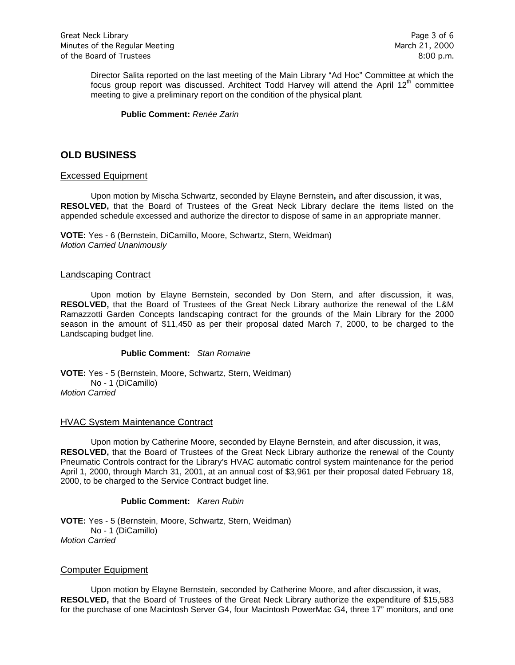Director Salita reported on the last meeting of the Main Library "Ad Hoc" Committee at which the focus group report was discussed. Architect Todd Harvey will attend the April  $12<sup>th</sup>$  committee meeting to give a preliminary report on the condition of the physical plant.

**Public Comment:** *Renée Zarin*

## **OLD BUSINESS**

#### Excessed Equipment

Upon motion by Mischa Schwartz, seconded by Elayne Bernstein**,** and after discussion, it was, **RESOLVED,** that the Board of Trustees of the Great Neck Library declare the items listed on the appended schedule excessed and authorize the director to dispose of same in an appropriate manner.

**VOTE:** Yes - 6 (Bernstein, DiCamillo, Moore, Schwartz, Stern, Weidman) *Motion Carried Unanimously*

#### Landscaping Contract

Upon motion by Elayne Bernstein, seconded by Don Stern, and after discussion, it was, **RESOLVED,** that the Board of Trustees of the Great Neck Library authorize the renewal of the L&M Ramazzotti Garden Concepts landscaping contract for the grounds of the Main Library for the 2000 season in the amount of \$11,450 as per their proposal dated March 7, 2000, to be charged to the Landscaping budget line.

#### **Public Comment:** *Stan Romaine*

**VOTE:** Yes - 5 (Bernstein, Moore, Schwartz, Stern, Weidman) No - 1 (DiCamillo) *Motion Carried* 

#### HVAC System Maintenance Contract

Upon motion by Catherine Moore, seconded by Elayne Bernstein, and after discussion, it was, **RESOLVED,** that the Board of Trustees of the Great Neck Library authorize the renewal of the County Pneumatic Controls contract for the Library's HVAC automatic control system maintenance for the period April 1, 2000, through March 31, 2001, at an annual cost of \$3,961 per their proposal dated February 18, 2000, to be charged to the Service Contract budget line.

#### **Public Comment:** *Karen Rubin*

**VOTE:** Yes - 5 (Bernstein, Moore, Schwartz, Stern, Weidman) No - 1 (DiCamillo) *Motion Carried* 

#### Computer Equipment

Upon motion by Elayne Bernstein, seconded by Catherine Moore, and after discussion, it was, **RESOLVED,** that the Board of Trustees of the Great Neck Library authorize the expenditure of \$15,583 for the purchase of one Macintosh Server G4, four Macintosh PowerMac G4, three 17" monitors, and one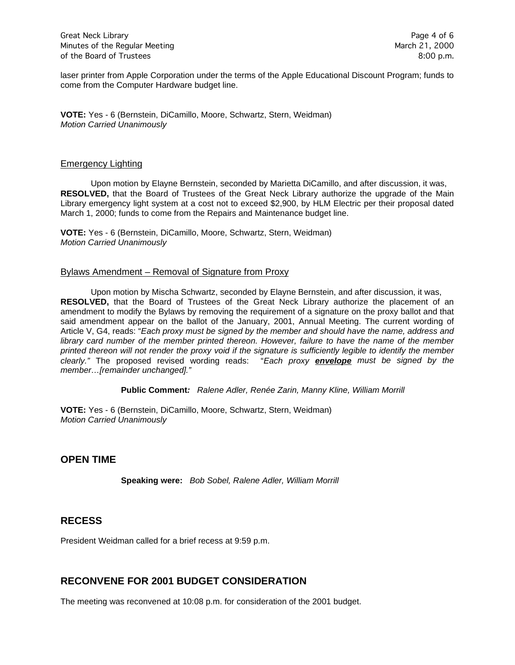laser printer from Apple Corporation under the terms of the Apple Educational Discount Program; funds to come from the Computer Hardware budget line.

**VOTE:** Yes - 6 (Bernstein, DiCamillo, Moore, Schwartz, Stern, Weidman) *Motion Carried Unanimously*

#### Emergency Lighting

Upon motion by Elayne Bernstein, seconded by Marietta DiCamillo, and after discussion, it was, **RESOLVED,** that the Board of Trustees of the Great Neck Library authorize the upgrade of the Main Library emergency light system at a cost not to exceed \$2,900, by HLM Electric per their proposal dated March 1, 2000; funds to come from the Repairs and Maintenance budget line.

**VOTE:** Yes - 6 (Bernstein, DiCamillo, Moore, Schwartz, Stern, Weidman) *Motion Carried Unanimously*

### Bylaws Amendment – Removal of Signature from Proxy

Upon motion by Mischa Schwartz, seconded by Elayne Bernstein, and after discussion, it was, **RESOLVED,** that the Board of Trustees of the Great Neck Library authorize the placement of an amendment to modify the Bylaws by removing the requirement of a signature on the proxy ballot and that said amendment appear on the ballot of the January, 2001, Annual Meeting. The current wording of Article V, G4, reads: "*Each proxy must be signed by the member and should have the name, address and library card number of the member printed thereon. However, failure to have the name of the member printed thereon will not render the proxy void if the signature is sufficiently legible to identify the member clearly."* The proposed revised wording reads: "*Each proxy envelope must be signed by the member…[remainder unchanged]."*

#### **Public Comment***: Ralene Adler, Renée Zarin, Manny Kline, William Morrill*

**VOTE:** Yes - 6 (Bernstein, DiCamillo, Moore, Schwartz, Stern, Weidman) *Motion Carried Unanimously*

## **OPEN TIME**

**Speaking were:** *Bob Sobel, Ralene Adler, William Morrill*

## **RECESS**

President Weidman called for a brief recess at 9:59 p.m.

# **RECONVENE FOR 2001 BUDGET CONSIDERATION**

The meeting was reconvened at 10:08 p.m. for consideration of the 2001 budget.